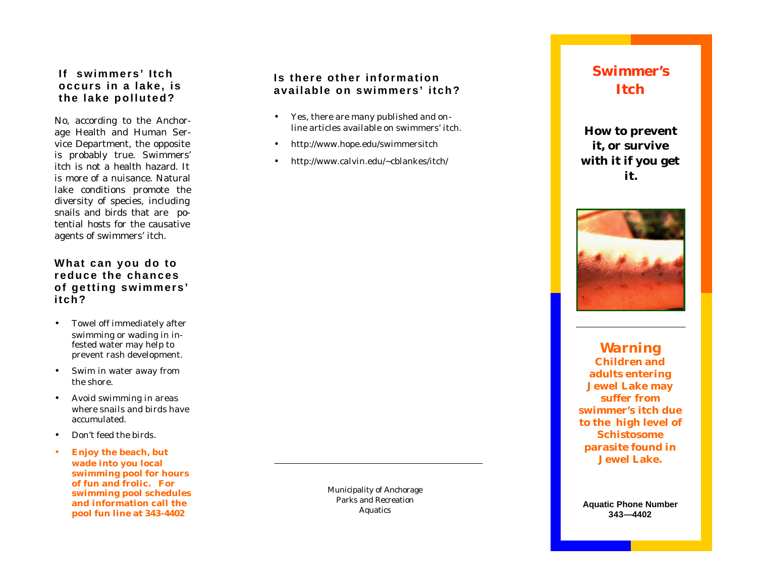# **If swimmers' Itch occurs in a lake, is the lake polluted?**

No, according to the Anchorage Health and Human Service Department, the opposite is probably true. Swimmers' itch is not a health hazard. It is more of a nuisance. Natural lake conditions promote the diversity of species, including snails and birds that are potential hosts for the causative agents of swimmers' itch.

### **What can you do to reduce the chances of getting swimmers' itch?**

- Towel off immediately after swimming or wading in infested water may help to prevent rash development.
- Swim in water away from the shore.
- Avoid swimming in areas where snails and birds have accumulated.
- Don't feed the birds.
- **Enjoy the beach, but wade into you local swimming pool for hours of fun and frolic. For swimming pool schedules and information call the pool fun line at 343 -4402**

Municipality of Anchorage Parks and Recreation Aquatics

# **Is there other information available on swimmers' itch?**

- Yes, there are many published and online articles available on swimmers' itch.
- http://www.hope.edu/swimmersitch
- http://www.calvin.edu/~cblankes/itch/

# **Swimmer's Itch**

**How to prevent it, or survive with it if you get it.**



*Warning* **Children and adults entering Jewel Lake may suffer from swimmer's itch due to the high level of Schistosome parasite found in Jewel Lake.**

**Aquatic Phone Number 343 —4402**